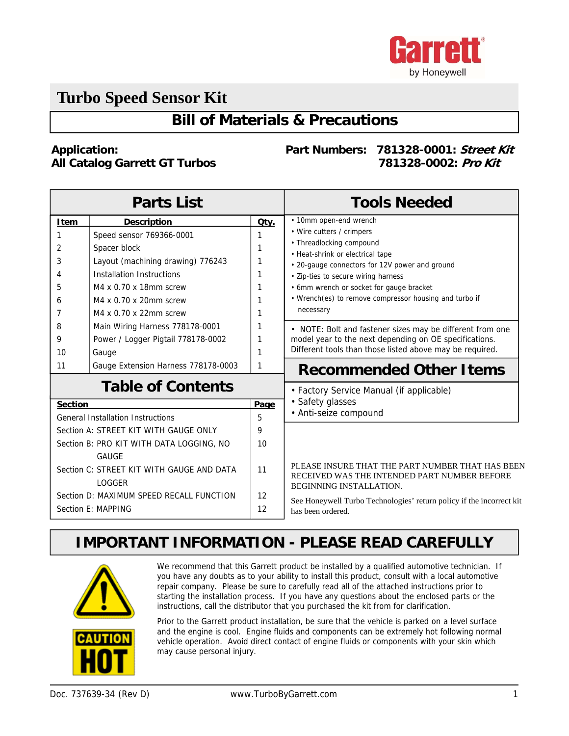

# **Turbo Speed Sensor Kit**

### **Bill of Materials & Precautions**

#### **Application: All Catalog Garrett GT Turbos**

#### **Part Numbers: 781328-0001: Street Kit 781328-0002: Pro Kit**

| <b>Parts List</b>                                              |                                     |          | <b>Tools Needed</b>                                                                                                         |
|----------------------------------------------------------------|-------------------------------------|----------|-----------------------------------------------------------------------------------------------------------------------------|
| <b>Item</b>                                                    | <b>Description</b>                  | Qty.     | • 10mm open-end wrench                                                                                                      |
| 1                                                              | Speed sensor 769366-0001            |          | • Wire cutters / crimpers                                                                                                   |
| 2                                                              | Spacer block                        |          | • Threadlocking compound<br>• Heat-shrink or electrical tape                                                                |
| 3                                                              | Layout (machining drawing) 776243   |          | • 20-gauge connectors for 12V power and ground                                                                              |
| 4                                                              | Installation Instructions           |          | • Zip-ties to secure wiring harness                                                                                         |
| 5                                                              | M4 x 0.70 x 18mm screw              |          | • 6mm wrench or socket for gauge bracket                                                                                    |
| 6                                                              | M4 x 0.70 x 20mm screw              |          | • Wrench(es) to remove compressor housing and turbo if                                                                      |
| 7                                                              | M4 x 0.70 x 22mm screw              |          | necessary                                                                                                                   |
| 8                                                              | Main Wiring Harness 778178-0001     |          | • NOTE: Bolt and fastener sizes may be different from one                                                                   |
| 9                                                              | Power / Logger Pigtail 778178-0002  |          | model year to the next depending on OE specifications.                                                                      |
| 10                                                             | Gauge                               |          | Different tools than those listed above may be required.                                                                    |
| 11                                                             | Gauge Extension Harness 778178-0003 | 1        | <b>Recommended Other Items</b>                                                                                              |
| <b>Table of Contents</b>                                       |                                     |          | • Factory Service Manual (if applicable)                                                                                    |
| <b>Section</b>                                                 |                                     | Page     | • Safety glasses                                                                                                            |
| <b>General Installation Instructions</b>                       |                                     | 5        | • Anti-seize compound                                                                                                       |
| Section A: STREET KIT WITH GAUGE ONLY                          |                                     | 9        |                                                                                                                             |
| Section B: PRO KIT WITH DATA LOGGING, NO                       |                                     | 10       |                                                                                                                             |
| GAUGE                                                          |                                     |          |                                                                                                                             |
| Section C: STREET KIT WITH GAUGE AND DATA<br><b>LOGGER</b>     |                                     | 11       | PLEASE INSURE THAT THE PART NUMBER THAT HAS BEEN<br>RECEIVED WAS THE INTENDED PART NUMBER BEFORE<br>BEGINNING INSTALLATION. |
| Section D: MAXIMUM SPEED RECALL FUNCTION<br>Section E: MAPPING |                                     | 12<br>12 | See Honeywell Turbo Technologies' return policy if the incorrect kit<br>has been ordered.                                   |

### **IMPORTANT INFORMATION - PLEASE READ CAREFULLY**



We recommend that this Garrett product be installed by a qualified automotive technician. If you have any doubts as to your ability to install this product, consult with a local automotive repair company. Please be sure to carefully read all of the attached instructions prior to starting the installation process. If you have any questions about the enclosed parts or the instructions, call the distributor that you purchased the kit from for clarification.

Prior to the Garrett product installation, be sure that the vehicle is parked on a level surface and the engine is cool. Engine fluids and components can be extremely hot following normal vehicle operation. Avoid direct contact of engine fluids or components with your skin which may cause personal injury.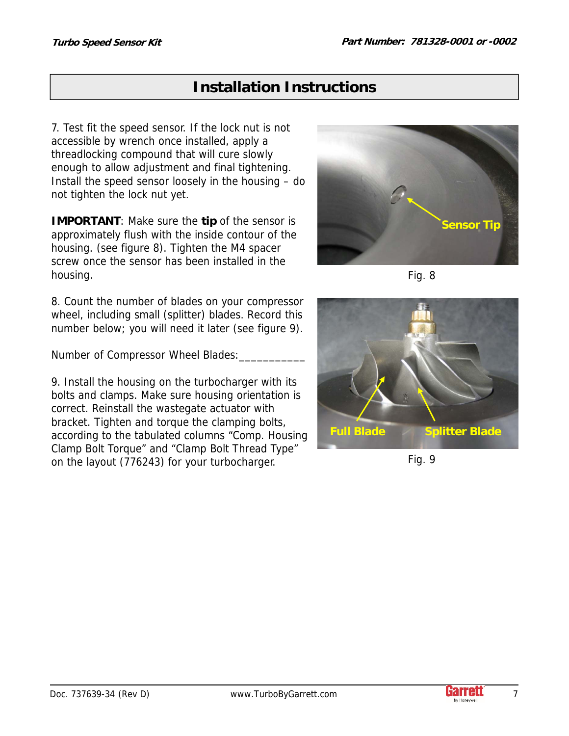7. Test fit the speed sensor. If the lock nut is not accessible by wrench once installed, apply a threadlocking compound that will cure slowly enough to allow adjustment and final tightening. Install the speed sensor loosely in the housing – do not tighten the lock nut yet.

**IMPORTANT**: Make sure the **tip** of the sensor is approximately flush with the inside contour of the housing. (see figure 8). Tighten the M4 spacer screw once the sensor has been installed in the housing.

8. Count the number of blades on your compressor wheel, including small (splitter) blades. Record this number below; you will need it later (see figure 9).

Number of Compressor Wheel Blades:\_\_\_\_\_\_\_\_\_\_\_

9. Install the housing on the turbocharger with its bolts and clamps. Make sure housing orientation is correct. Reinstall the wastegate actuator with bracket. Tighten and torque the clamping bolts, according to the tabulated columns "Comp. Housing Clamp Bolt Torque" and "Clamp Bolt Thread Type" on the layout (776243) for your turbocharger.







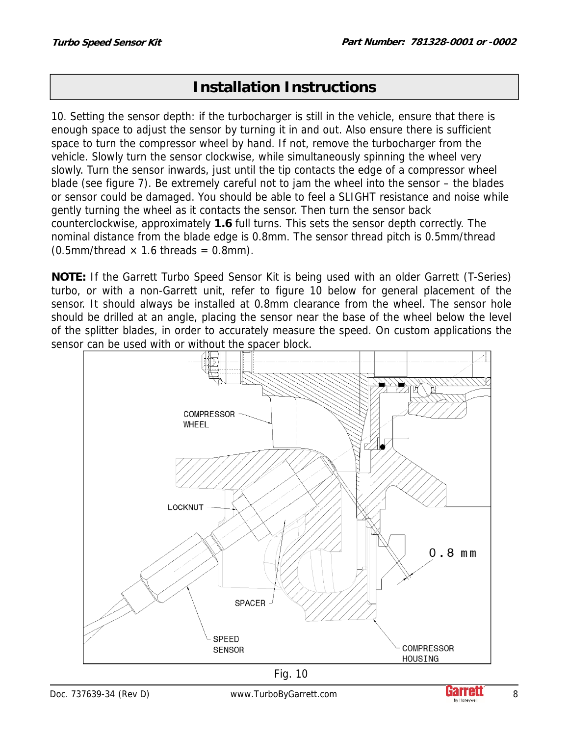10. Setting the sensor depth: if the turbocharger is still in the vehicle, ensure that there is enough space to adjust the sensor by turning it in and out. Also ensure there is sufficient space to turn the compressor wheel by hand. If not, remove the turbocharger from the vehicle. Slowly turn the sensor clockwise, while simultaneously spinning the wheel very slowly. Turn the sensor inwards, just until the tip contacts the edge of a compressor wheel blade (see figure 7). Be extremely careful not to jam the wheel into the sensor – the blades or sensor could be damaged. You should be able to feel a SLIGHT resistance and noise while gently turning the wheel as it contacts the sensor. Then turn the sensor back counterclockwise, approximately **1.6** full turns. This sets the sensor depth correctly. The nominal distance from the blade edge is 0.8mm. The sensor thread pitch is 0.5mm/thread  $(0.5$ mm/thread  $\times$  1.6 threads = 0.8mm).

**NOTE:** If the Garrett Turbo Speed Sensor Kit is being used with an older Garrett (T-Series) turbo, or with a non-Garrett unit, refer to figure 10 below for general placement of the sensor. It should always be installed at 0.8mm clearance from the wheel. The sensor hole should be drilled at an angle, placing the sensor near the base of the wheel below the level of the splitter blades, in order to accurately measure the speed. On custom applications the sensor can be used with or without the spacer block.





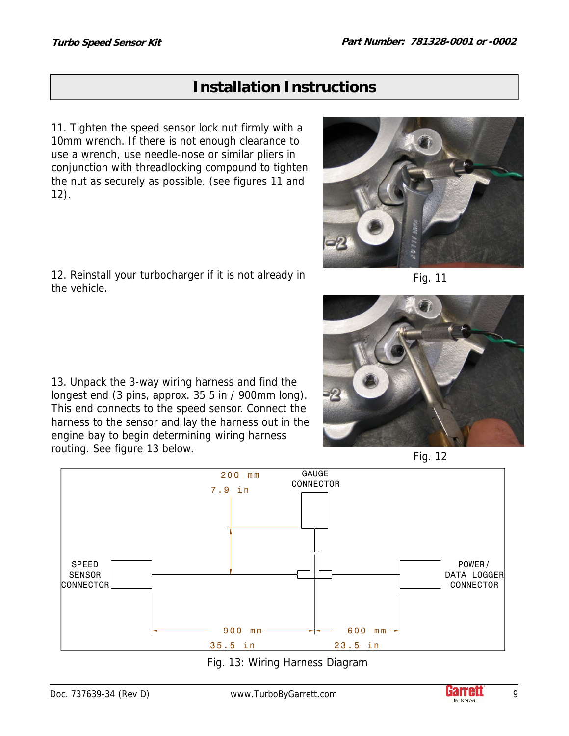the vehicle.

### **Installation Instructions**

11. Tighten the speed sensor lock nut firmly with a 10mm wrench. If there is not enough clearance to use a wrench, use needle-nose or similar pliers in conjunction with threadlocking compound to tighten the nut as securely as possible. (see figures 11 and 12).

12. Reinstall your turbocharger if it is not already in

13. Unpack the 3-way wiring harness and find the longest end (3 pins, approx. 35.5 in / 900mm long). This end connects to the speed sensor. Connect the harness to the sensor and lay the harness out in the engine bay to begin determining wiring harness

routing. See figure 13 below.



Fig. 11



Fig. 12 POWER/ DATA LOGGER CONNECTOR SPEED SENSOR CONNECTOR GAUGE CONNECTOR 200 mm 7.9 in 900 mm 35.5 in 600  $mm -$ 23.5 in



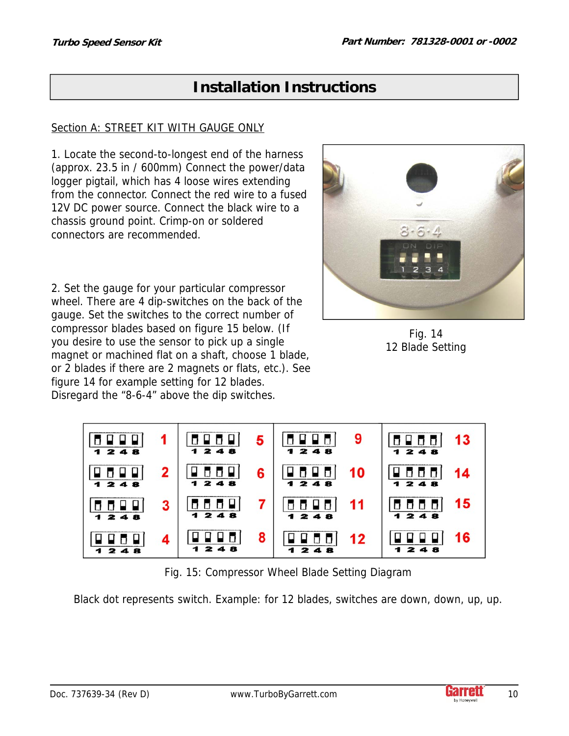### Section A: STREET KIT WITH GAUGE ONLY

1. Locate the second-to-longest end of the harness (approx. 23.5 in / 600mm) Connect the power/data logger pigtail, which has 4 loose wires extending from the connector. Connect the red wire to a fused 12V DC power source. Connect the black wire to a chassis ground point. Crimp-on or soldered connectors are recommended.

2. Set the gauge for your particular compressor wheel. There are 4 dip-switches on the back of the gauge. Set the switches to the correct number of compressor blades based on figure 15 below. (If you desire to use the sensor to pick up a single magnet or machined flat on a shaft, choose 1 blade, or 2 blades if there are 2 magnets or flats, etc.). See figure 14 for example setting for 12 blades. Disregard the "8-6-4" above the dip switches.



Fig. 14 12 Blade Setting



Fig. 15: Compressor Wheel Blade Setting Diagram

Black dot represents switch. Example: for 12 blades, switches are down, down, up, up.

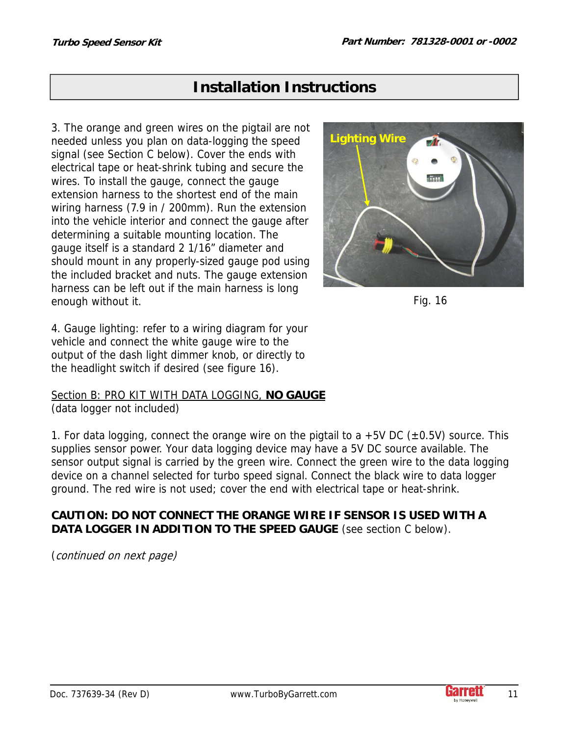3. The orange and green wires on the pigtail are not needed unless you plan on data-logging the speed signal (see Section C below). Cover the ends with electrical tape or heat-shrink tubing and secure the wires. To install the gauge, connect the gauge extension harness to the shortest end of the main wiring harness (7.9 in / 200mm). Run the extension into the vehicle interior and connect the gauge after determining a suitable mounting location. The gauge itself is a standard 2 1/16" diameter and should mount in any properly-sized gauge pod using the included bracket and nuts. The gauge extension harness can be left out if the main harness is long enough without it.





4. Gauge lighting: refer to a wiring diagram for your vehicle and connect the white gauge wire to the output of the dash light dimmer knob, or directly to the headlight switch if desired (see figure 16).

Section B: PRO KIT WITH DATA LOGGING, **NO GAUGE** (data logger not included)

1. For data logging, connect the orange wire on the pigtail to a +5V DC ( $\pm$ 0.5V) source. This supplies sensor power. Your data logging device may have a 5V DC source available. The sensor output signal is carried by the green wire. Connect the green wire to the data logging device on a channel selected for turbo speed signal. Connect the black wire to data logger ground. The red wire is not used; cover the end with electrical tape or heat-shrink.

### **CAUTION: DO NOT CONNECT THE ORANGE WIRE IF SENSOR IS USED WITH A DATA LOGGER IN ADDITION TO THE SPEED GAUGE** (see section C below).

(continued on next page)

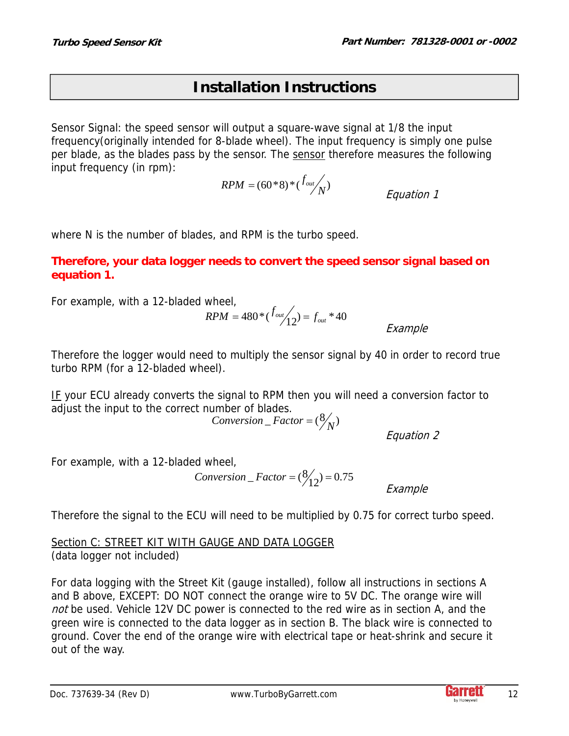Sensor Signal: the speed sensor will output a square-wave signal at 1/8 the input frequency(originally intended for 8-blade wheel). The input frequency is simply one pulse per blade, as the blades pass by the sensor. The sensor therefore measures the following input frequency (in rpm):

> Equation 1  $RPM = (60 * 8) * ( \frac{f_{out}}{N} )$

where N is the number of blades, and RPM is the turbo speed.

### **Therefore, your data logger needs to convert the speed sensor signal based on equation 1.**

For example, with a 12-bladed wheel,

$$
RPM = 480 * (f_{out}/12) = f_{out} * 40
$$
\n
$$
EX \in \text{Ex}
$$

ample

Therefore the logger would need to multiply the sensor signal by 40 in order to record true turbo RPM (for a 12-bladed wheel).

IF your ECU already converts the signal to RPM then you will need a conversion factor to adjust the input to the correct number of blades.

Conversion  $_Factor = (\frac{8}{N})$ 

Equation 2

For example, with a 12-bladed wheel,

 $Conversion = Factor = (\frac{8}{12}) = 0.75$ 

Example

Therefore the signal to the ECU will need to be multiplied by 0.75 for correct turbo speed.

Section C: STREET KIT WITH GAUGE AND DATA LOGGER (data logger not included)

For data logging with the Street Kit (gauge installed), follow all instructions in sections A and B above, EXCEPT: DO NOT connect the orange wire to 5V DC. The orange wire will not be used. Vehicle 12V DC power is connected to the red wire as in section A, and the green wire is connected to the data logger as in section B. The black wire is connected to ground. Cover the end of the orange wire with electrical tape or heat-shrink and secure it out of the way.

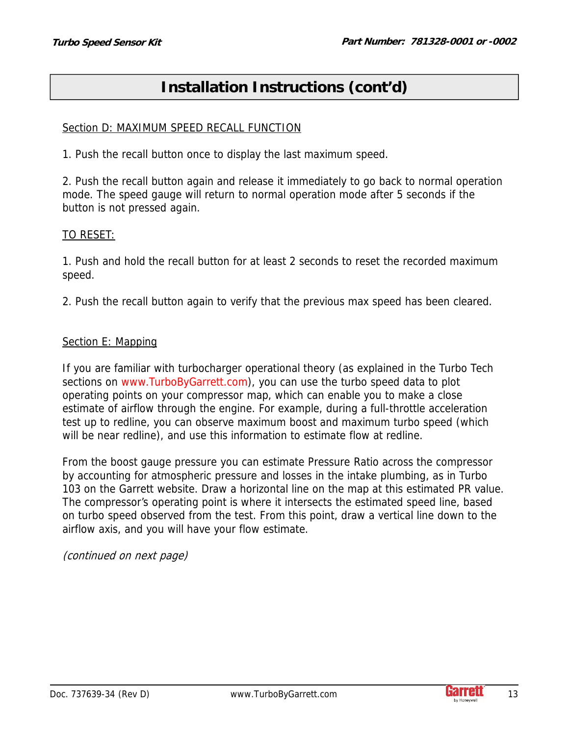# **Installation Instructions (cont'd)**

#### Section D: MAXIMUM SPEED RECALL FUNCTION

1. Push the recall button once to display the last maximum speed.

2. Push the recall button again and release it immediately to go back to normal operation mode. The speed gauge will return to normal operation mode after 5 seconds if the button is not pressed again.

#### TO RESET:

1. Push and hold the recall button for at least 2 seconds to reset the recorded maximum speed.

2. Push the recall button again to verify that the previous max speed has been cleared.

#### Section E: Mapping

If you are familiar with turbocharger operational theory (as explained in the Turbo Tech sections on www.TurboByGarrett.com), you can use the turbo speed data to plot operating points on your compressor map, which can enable you to make a close estimate of airflow through the engine. For example, during a full-throttle acceleration test up to redline, you can observe maximum boost and maximum turbo speed (which will be near redline), and use this information to estimate flow at redline.

From the boost gauge pressure you can estimate Pressure Ratio across the compressor by accounting for atmospheric pressure and losses in the intake plumbing, as in Turbo 103 on the Garrett website. Draw a horizontal line on the map at this estimated PR value. The compressor's operating point is where it intersects the estimated speed line, based on turbo speed observed from the test. From this point, draw a vertical line down to the airflow axis, and you will have your flow estimate.

(continued on next page)